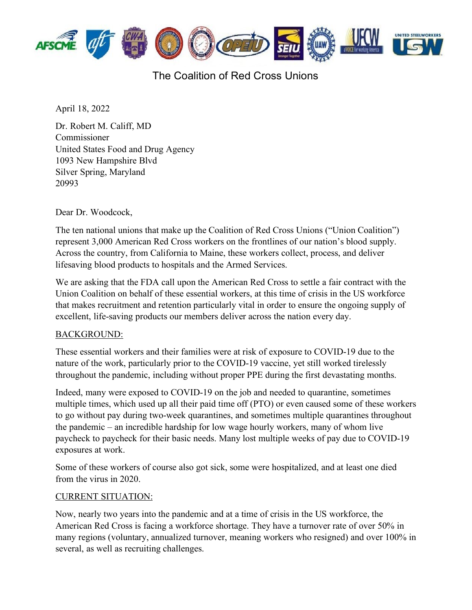

## The Coalition of Red Cross Unions

April 18, 2022

Dr. Robert M. Califf, MD Commissioner United States Food and Drug Agency 1093 New Hampshire Blvd Silver Spring, Maryland 20993

Dear Dr. Woodcock,

The ten national unions that make up the Coalition of Red Cross Unions ("Union Coalition") represent 3,000 American Red Cross workers on the frontlines of our nation's blood supply. Across the country, from California to Maine, these workers collect, process, and deliver lifesaving blood products to hospitals and the Armed Services.

We are asking that the FDA call upon the American Red Cross to settle a fair contract with the Union Coalition on behalf of these essential workers, at this time of crisis in the US workforce that makes recruitment and retention particularly vital in order to ensure the ongoing supply of excellent, life-saving products our members deliver across the nation every day.

#### BACKGROUND:

These essential workers and their families were at risk of exposure to COVID-19 due to the nature of the work, particularly prior to the COVID-19 vaccine, yet still worked tirelessly throughout the pandemic, including without proper PPE during the first devastating months.

Indeed, many were exposed to COVID-19 on the job and needed to quarantine, sometimes multiple times, which used up all their paid time off (PTO) or even caused some of these workers to go without pay during two-week quarantines, and sometimes multiple quarantines throughout the pandemic – an incredible hardship for low wage hourly workers, many of whom live paycheck to paycheck for their basic needs. Many lost multiple weeks of pay due to COVID-19 exposures at work.

Some of these workers of course also got sick, some were hospitalized, and at least one died from the virus in 2020.

#### CURRENT SITUATION:

Now, nearly two years into the pandemic and at a time of crisis in the US workforce, the American Red Cross is facing a workforce shortage. They have a turnover rate of over 50% in many regions (voluntary, annualized turnover, meaning workers who resigned) and over 100% in several, as well as recruiting challenges.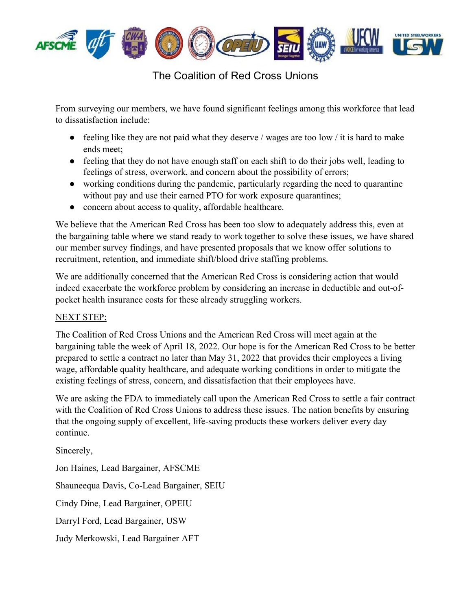

### The Coalition of Red Cross Unions

From surveying our members, we have found significant feelings among this workforce that lead to dissatisfaction include:

- feeling like they are not paid what they deserve / wages are too low / it is hard to make ends meet;
- feeling that they do not have enough staff on each shift to do their jobs well, leading to feelings of stress, overwork, and concern about the possibility of errors;
- working conditions during the pandemic, particularly regarding the need to quarantine without pay and use their earned PTO for work exposure quarantines;
- concern about access to quality, affordable healthcare.

We believe that the American Red Cross has been too slow to adequately address this, even at the bargaining table where we stand ready to work together to solve these issues, we have shared our member survey findings, and have presented proposals that we know offer solutions to recruitment, retention, and immediate shift/blood drive staffing problems.

We are additionally concerned that the American Red Cross is considering action that would indeed exacerbate the workforce problem by considering an increase in deductible and out-ofpocket health insurance costs for these already struggling workers.

### NEXT STEP:

The Coalition of Red Cross Unions and the American Red Cross will meet again at the bargaining table the week of April 18, 2022. Our hope is for the American Red Cross to be better prepared to settle a contract no later than May 31, 2022 that provides their employees a living wage, affordable quality healthcare, and adequate working conditions in order to mitigate the existing feelings of stress, concern, and dissatisfaction that their employees have.

We are asking the FDA to immediately call upon the American Red Cross to settle a fair contract with the Coalition of Red Cross Unions to address these issues. The nation benefits by ensuring that the ongoing supply of excellent, life-saving products these workers deliver every day continue.

Sincerely,

Jon Haines, Lead Bargainer, AFSCME Shauneequa Davis, Co-Lead Bargainer, SEIU Cindy Dine, Lead Bargainer, OPEIU Darryl Ford, Lead Bargainer, USW Judy Merkowski, Lead Bargainer AFT